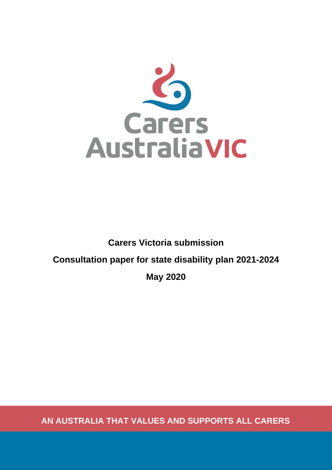

# **Carers Victoria submission Consultation paper for state disability plan 2021-2024 May 2020**

**AN AUSTRALIA THAT VALUES AND SUPPORTS ALL CARERS**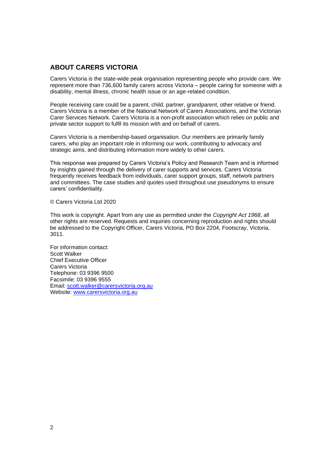## <span id="page-1-0"></span>**ABOUT CARERS VICTORIA**

Carers Victoria is the state-wide peak organisation representing people who provide care. We represent more than 736,600 family carers across Victoria – people caring for someone with a disability, mental illness, chronic health issue or an age-related condition.

People receiving care could be a parent, child, partner, grandparent, other relative or friend. Carers Victoria is a member of the National Network of Carers Associations, and the Victorian Carer Services Network. Carers Victoria is a non-profit association which relies on public and private sector support to fulfil its mission with and on behalf of carers.

Carers Victoria is a membership-based organisation. Our members are primarily family carers, who play an important role in informing our work, contributing to advocacy and strategic aims, and distributing information more widely to other carers.

This response was prepared by Carers Victoria's Policy and Research Team and is informed by insights gained through the delivery of carer supports and services. Carers Victoria frequently receives feedback from individuals, carer support groups, staff, network partners and committees. The case studies and quotes used throughout use pseudonyms to ensure carers' confidentiality.

© Carers Victoria Ltd 2020

This work is copyright. Apart from any use as permitted under the *Copyright Act 1968*, all other rights are reserved. Requests and inquiries concerning reproduction and rights should be addressed to the Copyright Officer, Carers Victoria, PO Box 2204, Footscray, Victoria, 3011.

For information contact: Scott Walker Chief Executive Officer Carers Victoria Telephone: 03 9396 9500 Facsimile: 03 9396 9555 Email: [scott.walker@carersvictoria.org.au](mailto:scott.walker@carersvictoria.org.au) Website: [www.carersvictoria.org.au](http://www.carersvictoria.org.au/)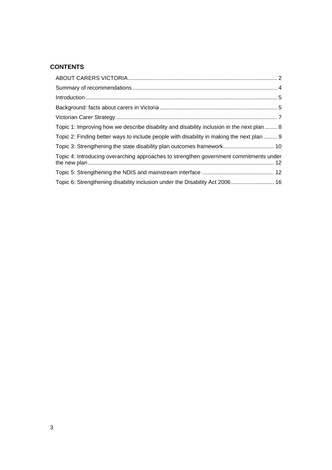## **CONTENTS**

| Topic 1: Improving how we describe disability and disability inclusion in the next plan  8 |  |
|--------------------------------------------------------------------------------------------|--|
| Topic 2: Finding better ways to include people with disability in making the next plan  9  |  |
| Topic 3: Strengthening the state disability plan outcomes framework 10                     |  |
| Topic 4: Introducing overarching approaches to strengthen government commitments under     |  |
|                                                                                            |  |
| Topic 6: Strengthening disability inclusion under the Disability Act 2006 16               |  |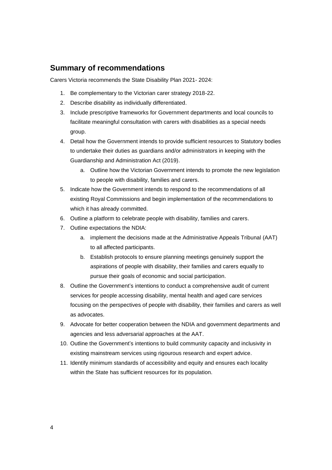## <span id="page-3-0"></span>**Summary of recommendations**

Carers Victoria recommends the State Disability Plan 2021- 2024:

- 1. Be complementary to the Victorian carer strategy 2018-22.
- 2. Describe disability as individually differentiated.
- 3. Include prescriptive frameworks for Government departments and local councils to facilitate meaningful consultation with carers with disabilities as a special needs group.
- 4. Detail how the Government intends to provide sufficient resources to Statutory bodies to undertake their duties as guardians and/or administrators in keeping with the Guardianship and Administration Act (2019).
	- a. Outline how the Victorian Government intends to promote the new legislation to people with disability, families and carers.
- 5. Indicate how the Government intends to respond to the recommendations of all existing Royal Commissions and begin implementation of the recommendations to which it has already committed.
- 6. Outline a platform to celebrate people with disability, families and carers.
- 7. Outline expectations the NDIA:
	- a. implement the decisions made at the Administrative Appeals Tribunal (AAT) to all affected participants.
	- b. Establish protocols to ensure planning meetings genuinely support the aspirations of people with disability, their families and carers equally to pursue their goals of economic and social participation.
- 8. Outline the Government's intentions to conduct a comprehensive audit of current services for people accessing disability, mental health and aged care services focusing on the perspectives of people with disability, their families and carers as well as advocates.
- 9. Advocate for better cooperation between the NDIA and government departments and agencies and less adversarial approaches at the AAT.
- 10. Outline the Government's intentions to build community capacity and inclusivity in existing mainstream services using rigourous research and expert advice.
- 11. Identify minimum standards of accessibility and equity and ensures each locality within the State has sufficient resources for its population.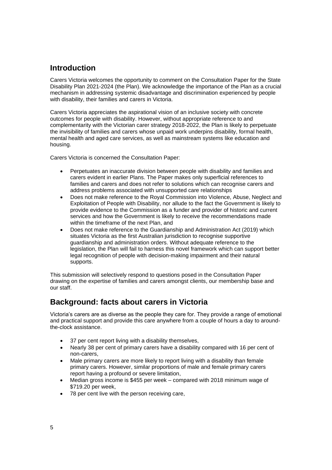## <span id="page-4-0"></span>**Introduction**

Carers Victoria welcomes the opportunity to comment on the Consultation Paper for the State Disability Plan 2021-2024 (the Plan). We acknowledge the importance of the Plan as a crucial mechanism in addressing systemic disadvantage and discrimination experienced by people with disability, their families and carers in Victoria.

Carers Victoria appreciates the aspirational vision of an inclusive society with concrete outcomes for people with disability. However, without appropriate reference to and complementarity with the Victorian carer strategy 2018-2022, the Plan is likely to perpetuate the invisibility of families and carers whose unpaid work underpins disability, formal health, mental health and aged care services, as well as mainstream systems like education and housing.

Carers Victoria is concerned the Consultation Paper:

- Perpetuates an inaccurate division between people with disability and families and carers evident in earlier Plans. The Paper makes only superficial references to families and carers and does not refer to solutions which can recognise carers and address problems associated with unsupported care relationships
- Does not make reference to the Royal Commission into Violence, Abuse, Neglect and Exploitation of People with Disability, nor allude to the fact the Government is likely to provide evidence to the Commission as a funder and provider of historic and current services and how the Government is likely to receive the recommendations made within the timeframe of the next Plan, and
- Does not make reference to the Guardianship and Administration Act (2019) which situates Victoria as the first Australian jurisdiction to recognise supportive guardianship and administration orders. Without adequate reference to the legislation, the Plan will fail to harness this novel framework which can support better legal recognition of people with decision-making impairment and their natural supports.

This submission will selectively respond to questions posed in the Consultation Paper drawing on the expertise of families and carers amongst clients, our membership base and our staff.

# <span id="page-4-1"></span>**Background: facts about carers in Victoria**

Victoria's carers are as diverse as the people they care for. They provide a range of emotional and practical support and provide this care anywhere from a couple of hours a day to aroundthe-clock assistance.

- 37 per cent report living with a disability themselves,
- Nearly 38 per cent of primary carers have a disability compared with 16 per cent of non-carers,
- Male primary carers are more likely to report living with a disability than female primary carers. However, similar proportions of male and female primary carers report having a profound or severe limitation,
- Median gross income is \$455 per week compared with 2018 minimum wage of \$719.20 per week,
- 78 per cent live with the person receiving care,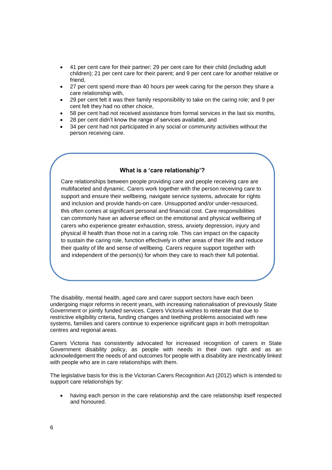- 41 per cent care for their partner; 29 per cent care for their child (including adult children); 21 per cent care for their parent; and 9 per cent care for another relative or friend,
- 27 per cent spend more than 40 hours per week caring for the person they share a care relationship with,
- 29 per cent felt it was their family responsibility to take on the caring role; and 9 per cent felt they had no other choice,
- 58 per cent had not received assistance from formal services in the last six months,
- 28 per cent didn't know the range of services available, and
- 34 per cent had not participated in any social or community activities without the person receiving care.

## **What is a 'care relationship'?**

Care relationships between people providing care and people receiving care are multifaceted and dynamic. Carers work together with the person receiving care to support and ensure their wellbeing, navigate service systems, advocate for rights and inclusion and provide hands-on care. Unsupported and/or under-resourced, this often comes at significant personal and financial cost. Care responsibilities can commonly have an adverse effect on the emotional and physical wellbeing of carers who experience greater exhaustion, stress, anxiety depression, injury and physical ill health than those not in a caring role. This can impact on the capacity to sustain the caring role, function effectively in other areas of their life and reduce their quality of life and sense of wellbeing. Carers require support together with and independent of the person(s) for whom they care to reach their full potential.

The disability, mental health, aged care and carer support sectors have each been undergoing major reforms in recent years, with increasing nationalisation of previously State Government or jointly funded services. Carers Victoria wishes to reiterate that due to restrictive eligibility criteria, funding changes and teething problems associated with new systems, families and carers continue to experience significant gaps in both metropolitan centres and regional areas.

Carers Victoria has consistently advocated for increased recognition of carers in State Government disability policy, as people with needs in their own right and as an acknowledgement the needs of and outcomes for people with a disability are inextricably linked with people who are in care relationships with them.

The legislative basis for this is the Victorian Carers Recognition Act (2012) which is intended to support care relationships by:

• having each person in the care relationship and the care relationship itself respected and honoured.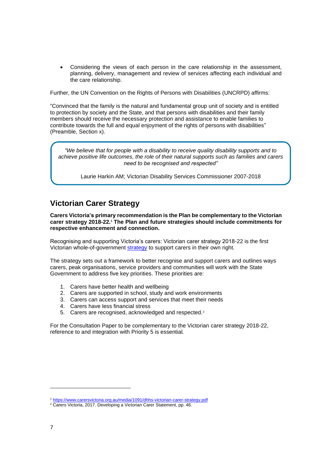• Considering the views of each person in the care relationship in the assessment, planning, delivery, management and review of services affecting each individual and the care relationship.

Further, the UN Convention on the Rights of Persons with Disabilities (UNCRPD) affirms:

"Convinced that the family is the natural and fundamental group unit of society and is entitled to protection by society and the State, and that persons with disabilities and their family members should receive the necessary protection and assistance to enable families to contribute towards the full and equal enjoyment of the rights of persons with disabilities" (Preamble, Section x).

*"We believe that for people with a disability to receive quality disability supports and to achieve positive life outcomes, the role of their natural supports such as families and carers need to be recognised and respected"*

Laurie Harkin AM; Victorian Disability Services Commissioner 2007-2018

# <span id="page-6-0"></span>**Victorian Carer Strategy**

**Carers Victoria's primary recommendation is the Plan be complementary to the Victorian carer strategy 2018-22. <sup>1</sup> The Plan and future strategies should include commitments for respective enhancement and connection.**

Recognising and supporting Victoria's carers: Victorian carer strategy 2018-22 is the first Victorian whole-of-government [strategy](https://www.carersvictoria.org.au/media/1091/dhhs-victorian-carer-strategy.pdf) to support carers in their own right.

The strategy sets out a framework to better recognise and support carers and outlines ways carers, peak organisations, service providers and communities will work with the State Government to address five key priorities. These priorities are:

- 1. Carers have better health and wellbeing
- 2. Carers are supported in school, study and work environments
- 3. Carers can access support and services that meet their needs
- 4. Carers have less financial stress
- 5. Carers are recognised, acknowledged and respected.<sup>2</sup>

For the Consultation Paper to be complementary to the Victorian carer strategy 2018-22, reference to and integration with Priority 5 is essential*.* 

<sup>1</sup> <https://www.carersvictoria.org.au/media/1091/dhhs-victorian-carer-strategy.pdf>

<sup>&</sup>lt;sup>2</sup> Carers Victoria, 2017. Developing a Victorian Carer Statement, pp. 46.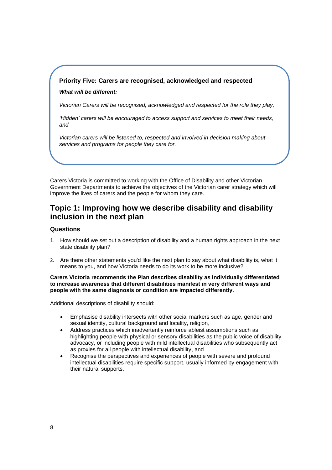## **Priority Five: Carers are recognised, acknowledged and respected**

## *What will be different:*

*Victorian Carers will be recognised, acknowledged and respected for the role they play,*

*'Hidden' carers will be encouraged to access support and services to meet their needs, and*

*Victorian carers will be listened to, respected and involved in decision making about services and programs for people they care for.* 

Carers Victoria is committed to working with the Office of Disability and other Victorian Government Departments to achieve the objectives of the Victorian carer strategy which will improve the lives of carers and the people for whom they care.

## <span id="page-7-0"></span>**Topic 1: Improving how we describe disability and disability inclusion in the next plan**

## **Questions**

- 1. How should we set out a description of disability and a human rights approach in the next state disability plan?
- 2. Are there other statements you'd like the next plan to say about what disability is, what it means to you, and how Victoria needs to do its work to be more inclusive?

#### **Carers Victoria recommends the Plan describes disability as individually differentiated to increase awareness that different disabilities manifest in very different ways and people with the same diagnosis or condition are impacted differently.**

Additional descriptions of disability should:

- Emphasise disability intersects with other social markers such as age, gender and sexual identity, cultural background and locality, religion,
- Address practices which inadvertently reinforce ableist assumptions such as highlighting people with physical or sensory disabilities as the public voice of disability advocacy, or including people with mild intellectual disabilities who subsequently act as proxies for all people with intellectual disability, and
- Recognise the perspectives and experiences of people with severe and profound intellectual disabilities require specific support, usually informed by engagement with their natural supports.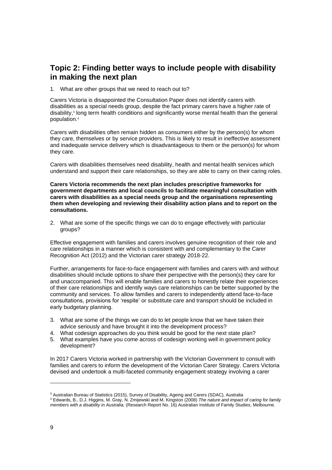## <span id="page-8-0"></span>**Topic 2: Finding better ways to include people with disability in making the next plan**

1. What are other groups that we need to reach out to?

Carers Victoria is disappointed the Consultation Paper does not identify carers with disabilities as a special needs group, despite the fact primary carers have a higher rate of disability,<sup>3</sup> long term health conditions and significantly worse mental health than the general population.<sup>4</sup>

Carers with disabilities often remain hidden as consumers either by the person(s) for whom they care, themselves or by service providers. This is likely to result in ineffective assessment and inadequate service delivery which is disadvantageous to them or the person(s) for whom they care.

Carers with disabilities themselves need disability, health and mental health services which understand and support their care relationships, so they are able to carry on their caring roles.

**Carers Victoria recommends the next plan includes prescriptive frameworks for government departments and local councils to facilitate meaningful consultation with carers with disabilities as a special needs group and the organisations representing them when developing and reviewing their disability action plans and to report on the consultations.**

2. What are some of the specific things we can do to engage effectively with particular groups?

Effective engagement with families and carers involves genuine recognition of their role and care relationships in a manner which is consistent with and complementary to the Carer Recognition Act (2012) and the Victorian carer strategy 2018-22.

Further, arrangements for face-to-face engagement with families and carers with and without disabilities should include options to share their perspective with the person(s) they care for and unaccompanied. This will enable families and carers to honestly relate their experiences of their care relationships and identify ways care relationships can be better supported by the community and services. To allow families and carers to independently attend face-to-face consultations, provisions for 'respite' or substitute care and transport should be included in early budgetary planning.

- 3. What are some of the things we can do to let people know that we have taken their advice seriously and have brought it into the development process?
- 4. What codesign approaches do you think would be good for the next state plan?
- 5. What examples have you come across of codesign working well in government policy development?

In 2017 Carers Victoria worked in partnership with the Victorian Government to consult with families and carers to inform the development of the Victorian Carer Strategy. Carers Victoria devised and undertook a multi-faceted community engagement strategy involving a carer

<sup>4</sup> Edwards, B., D.J. Higgins, M. Gray, N. Zmijewski and M. Kingston (2008) *The nature and impact of caring for family members with a disability in Australia,* (Research Report No. 16) Australian Institute of Family Studies, Melbourne.

<sup>&</sup>lt;sup>3</sup> Australian Bureau of Statistics (2015), Survey of Disability, Ageing and Carers (SDAC), Australia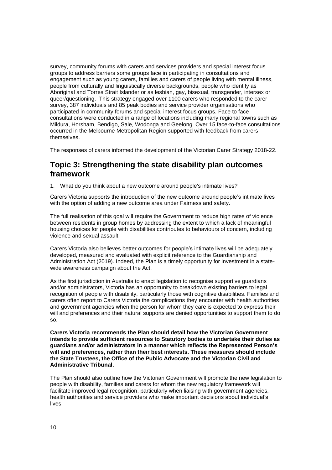survey, community forums with carers and services providers and special interest focus groups to address barriers some groups face in participating in consultations and engagement such as young carers, families and carers of people living with mental illness, people from culturally and linguistically diverse backgrounds, people who identify as Aboriginal and Torres Strait Islander or as lesbian, gay, bisexual, transgender, intersex or queer/questioning. This strategy engaged over 1100 carers who responded to the carer survey, 387 individuals and 85 peak bodies and service provider organisations who participated in community forums and special interest focus groups. Face to face consultations were conducted in a range of locations including many regional towns such as Mildura, Horsham, Bendigo, Sale, Wodonga and Geelong. Over 15 face-to-face consultations occurred in the Melbourne Metropolitan Region supported with feedback from carers themselves.

The responses of carers informed the development of the Victorian Carer Strategy 2018-22.

## <span id="page-9-0"></span>**Topic 3: Strengthening the state disability plan outcomes framework**

1. What do you think about a new outcome around people's intimate lives?

Carers Victoria supports the introduction of the new outcome around people's intimate lives with the option of adding a new outcome area under Fairness and safety.

The full realisation of this goal will require the Government to reduce high rates of violence between residents in group homes by addressing the extent to which a lack of meaningful housing choices for people with disabilities contributes to behaviours of concern, including violence and sexual assault.

Carers Victoria also believes better outcomes for people's intimate lives will be adequately developed, measured and evaluated with explicit reference to the Guardianship and Administration Act (2019). Indeed, the Plan is a timely opportunity for investment in a statewide awareness campaign about the Act.

As the first jurisdiction in Australia to enact legislation to recognise supportive guardians and/or administrators, Victoria has an opportunity to breakdown existing barriers to legal recognition of people with disability, particularly those with cognitive disabilities. Families and carers often report to Carers Victoria the complications they encounter with health authorities and government agencies when the person for whom they care is expected to express their will and preferences and their natural supports are denied opportunities to support them to do so.

**Carers Victoria recommends the Plan should detail how the Victorian Government intends to provide sufficient resources to Statutory bodies to undertake their duties as guardians and/or administrators in a manner which reflects the Represented Person's will and preferences, rather than their best interests. These measures should include the State Trustees, the Office of the Public Advocate and the Victorian Civil and Administrative Tribunal.**

The Plan should also outline how the Victorian Government will promote the new legislation to people with disability, families and carers for whom the new regulatory framework will facilitate improved legal recognition, particularly when liaising with government agencies, health authorities and service providers who make important decisions about individual's lives.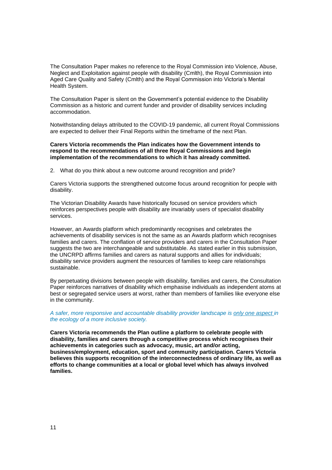The Consultation Paper makes no reference to the Royal Commission into Violence, Abuse, Neglect and Exploitation against people with disability (Cmlth), the Royal Commission into Aged Care Quality and Safety (Cmlth) and the Royal Commission into Victoria's Mental Health System.

The Consultation Paper is silent on the Government's potential evidence to the Disability Commission as a historic and current funder and provider of disability services including accommodation.

Notwithstanding delays attributed to the COVID-19 pandemic, all current Royal Commissions are expected to deliver their Final Reports within the timeframe of the next Plan.

#### **Carers Victoria recommends the Plan indicates how the Government intends to respond to the recommendations of all three Royal Commissions and begin implementation of the recommendations to which it has already committed.**

2. What do you think about a new outcome around recognition and pride?

Carers Victoria supports the strengthened outcome focus around recognition for people with disability.

The Victorian Disability Awards have historically focused on service providers which reinforces perspectives people with disability are invariably users of specialist disability services.

However, an Awards platform which predominantly recognises and celebrates the achievements of disability services is not the same as an Awards platform which recognises families and carers. The conflation of service providers and carers in the Consultation Paper suggests the two are interchangeable and substitutable. As stated earlier in this submission, the UNCRPD affirms families and carers as natural supports and allies for individuals; disability service providers augment the resources of families to keep care relationships sustainable.

By perpetuating divisions between people with disability, families and carers, the Consultation Paper reinforces narratives of disability which emphasise individuals as independent atoms at best or segregated service users at worst, rather than members of families like everyone else in the community.

*A safer, more responsive and accountable disability provider landscape is only one aspect in the ecology of a more inclusive society.* 

**Carers Victoria recommends the Plan outline a platform to celebrate people with disability, families and carers through a competitive process which recognises their achievements in categories such as advocacy, music, art and/or acting, business/employment, education, sport and community participation. Carers Victoria believes this supports recognition of the interconnectedness of ordinary life, as well as efforts to change communities at a local or global level which has always involved families.**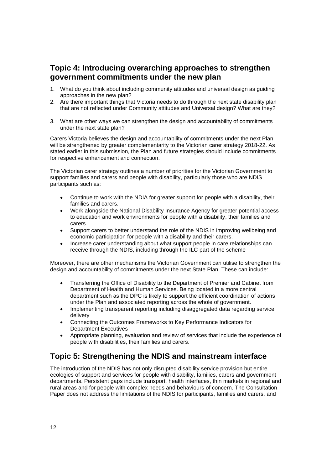## <span id="page-11-0"></span>**Topic 4: Introducing overarching approaches to strengthen government commitments under the new plan**

- 1. What do you think about including community attitudes and universal design as guiding approaches in the new plan?
- 2. Are there important things that Victoria needs to do through the next state disability plan that are not reflected under Community attitudes and Universal design? What are they?
- 3. What are other ways we can strengthen the design and accountability of commitments under the next state plan?

Carers Victoria believes the design and accountability of commitments under the next Plan will be strengthened by greater complementarity to the Victorian carer strategy 2018-22. As stated earlier in this submission, the Plan and future strategies should include commitments for respective enhancement and connection.

The Victorian carer strategy outlines a number of priorities for the Victorian Government to support families and carers and people with disability, particularly those who are NDIS participants such as:

- Continue to work with the NDIA for greater support for people with a disability, their families and carers.
- Work alongside the National Disability Insurance Agency for greater potential access to education and work environments for people with a disability, their families and carers.
- Support carers to better understand the role of the NDIS in improving wellbeing and economic participation for people with a disability and their carers.
- Increase carer understanding about what support people in care relationships can receive through the NDIS, including through the ILC part of the scheme

Moreover, there are other mechanisms the Victorian Government can utilise to strengthen the design and accountability of commitments under the next State Plan. These can include:

- Transferring the Office of Disability to the Department of Premier and Cabinet from Department of Health and Human Services. Being located in a more central department such as the DPC is likely to support the efficient coordination of actions under the Plan and associated reporting across the whole of government.
- Implementing transparent reporting including disaggregated data regarding service delivery
- Connecting the Outcomes Frameworks to Key Performance Indicators for Department Executives
- Appropriate planning, evaluation and review of services that include the experience of people with disabilities, their families and carers.

# <span id="page-11-1"></span>**Topic 5: Strengthening the NDIS and mainstream interface**

The introduction of the NDIS has not only disrupted disability service provision but entire ecologies of support and services for people with disability, families, carers and government departments. Persistent gaps include transport, health interfaces, thin markets in regional and rural areas and for people with complex needs and behaviours of concern. The Consultation Paper does not address the limitations of the NDIS for participants, families and carers, and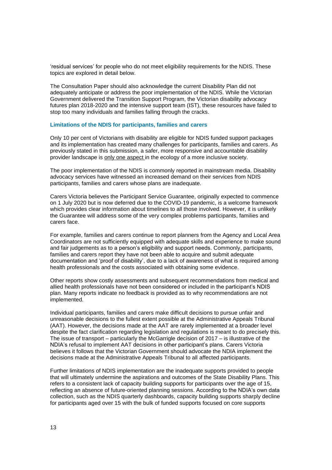'residual services' for people who do not meet eligibility requirements for the NDIS. These topics are explored in detail below.

The Consultation Paper should also acknowledge the current Disability Plan did not adequately anticipate or address the poor implementation of the NDIS. While the Victorian Government delivered the Transition Support Program, the Victorian disability advocacy futures plan 2018-2020 and the intensive support team (IST), these resources have failed to stop too many individuals and families falling through the cracks.

#### **Limitations of the NDIS for participants, families and carers**

Only 10 per cent of Victorians with disability are eligible for NDIS funded support packages and its implementation has created many challenges for participants, families and carers. As previously stated in this submission, a safer, more responsive and accountable disability provider landscape is only one aspect in the ecology of a more inclusive society.

The poor implementation of the NDIS is commonly reported in mainstream media. Disability advocacy services have witnessed an increased demand on their services from NDIS participants, families and carers whose plans are inadequate.

Carers Victoria believes the Participant Service Guarantee, originally expected to commence on 1 July 2020 but is now deferred due to the COVID-19 pandemic, is a welcome framework which provides clear information about timelines to all those involved. However, it is unlikely the Guarantee will address some of the very complex problems participants, families and carers face.

For example, families and carers continue to report planners from the Agency and Local Area Coordinators are not sufficiently equipped with adequate skills and experience to make sound and fair judgements as to a person's eligibility and support needs. Commonly, participants, families and carers report they have not been able to acquire and submit adequate documentation and 'proof of disability', due to a lack of awareness of what is required among health professionals and the costs associated with obtaining some evidence.

Other reports show costly assessments and subsequent recommendations from medical and allied health professionals have not been considered or included in the participant's NDIS plan. Many reports indicate no feedback is provided as to why recommendations are not implemented.

Individual participants, families and carers make difficult decisions to pursue unfair and unreasonable decisions to the fullest extent possible at the Administrative Appeals Tribunal (AAT). However, the decisions made at the AAT are rarely implemented at a broader level despite the fact clarification regarding legislation and regulations is meant to do precisely this. The issue of transport – particularly the McGarrigle decision of 2017 – is illustrative of the NDIA's refusal to implement AAT decisions in other participant's plans. Carers Victoria believes it follows that the Victorian Government should advocate the NDIA implement the decisions made at the Administrative Appeals Tribunal to all affected participants.

Further limitations of NDIS implementation are the inadequate supports provided to people that will ultimately undermine the aspirations and outcomes of the State Disability Plans. This refers to a consistent lack of capacity building supports for participants over the age of 15, reflecting an absence of future-oriented planning sessions. According to the NDIA's own data collection, such as the NDIS quarterly dashboards, capacity building supports sharply decline for participants aged over 15 with the bulk of funded supports focused on core supports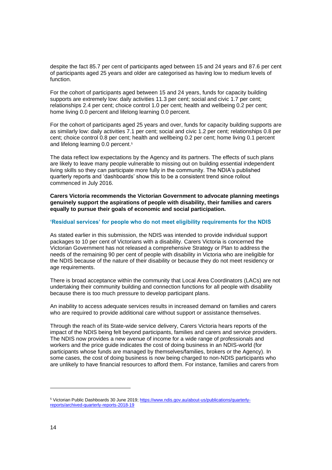despite the fact 85.7 per cent of participants aged between 15 and 24 years and 87.6 per cent of participants aged 25 years and older are categorised as having low to medium levels of function.

For the cohort of participants aged between 15 and 24 years, funds for capacity building supports are extremely low: daily activities 11.3 per cent; social and civic 1.7 per cent; relationships 2.4 per cent; choice control 1.0 per cent; health and wellbeing 0.2 per cent; home living 0.0 percent and lifelong learning 0.0 percent.

For the cohort of participants aged 25 years and over, funds for capacity building supports are as similarly low: daily activities 7.1 per cent; social and civic 1.2 per cent; relationships 0.8 per cent; choice control 0.8 per cent; health and wellbeing 0.2 per cent; home living 0.1 percent and lifelong learning 0.0 percent.<sup>5</sup>

The data reflect low expectations by the Agency and its partners. The effects of such plans are likely to leave many people vulnerable to missing out on building essential independent living skills so they can participate more fully in the community. The NDIA's published quarterly reports and 'dashboards' show this to be a consistent trend since rollout commenced in July 2016.

**Carers Victoria recommends the Victorian Government to advocate planning meetings genuinely support the aspirations of people with disability, their families and carers equally to pursue their goals of economic and social participation.** 

#### **'Residual services' for people who do not meet eligibility requirements for the NDIS**

As stated earlier in this submission, the NDIS was intended to provide individual support packages to 10 per cent of Victorians with a disability. Carers Victoria is concerned the Victorian Government has not released a comprehensive Strategy or Plan to address the needs of the remaining 90 per cent of people with disability in Victoria who are ineligible for the NDIS because of the nature of their disability or because they do not meet residency or age requirements.

There is broad acceptance within the community that Local Area Coordinators (LACs) are not undertaking their community building and connection functions for all people with disability because there is too much pressure to develop participant plans.

An inability to access adequate services results in increased demand on families and carers who are required to provide additional care without support or assistance themselves.

Through the reach of its State-wide service delivery, Carers Victoria hears reports of the impact of the NDIS being felt beyond participants, families and carers and service providers. The NDIS now provides a new avenue of income for a wide range of professionals and workers and the price guide indicates the cost of doing business in an NDIS-world (for participants whose funds are managed by themselves/families, brokers or the Agency). In some cases, the cost of doing business is now being charged to non-NDIS participants who are unlikely to have financial resources to afford them. For instance, families and carers from

<sup>5</sup> Victorian Public Dashboards 30 June 2019[; https://www.ndis.gov.au/about-us/publications/quarterly](https://www.ndis.gov.au/about-us/publications/quarterly-reports/archived-quarterly-reports-2018-19)[reports/archived-quarterly-reports-2018-19](https://www.ndis.gov.au/about-us/publications/quarterly-reports/archived-quarterly-reports-2018-19)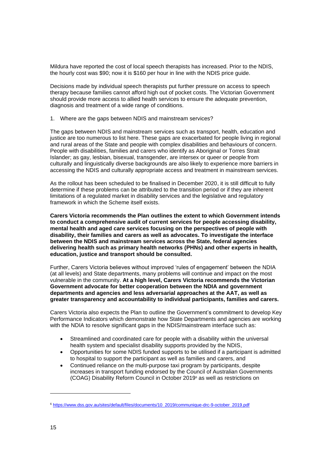Mildura have reported the cost of local speech therapists has increased. Prior to the NDIS, the hourly cost was \$90; now it is \$160 per hour in line with the NDIS price guide.

Decisions made by individual speech therapists put further pressure on access to speech therapy because families cannot afford high out of pocket costs. The Victorian Government should provide more access to allied health services to ensure the adequate prevention, diagnosis and treatment of a wide range of conditions.

1. Where are the gaps between NDIS and mainstream services?

The gaps between NDIS and mainstream services such as transport, health, education and justice are too numerous to list here. These gaps are exacerbated for people living in regional and rural areas of the State and people with complex disabilities and behaviours of concern. People with disabilities, families and carers who identify as Aboriginal or Torres Strait Islander; as gay, lesbian, bisexual, transgender, are intersex or queer or people from culturally and linguistically diverse backgrounds are also likely to experience more barriers in accessing the NDIS and culturally appropriate access and treatment in mainstream services.

As the rollout has been scheduled to be finalised in December 2020, it is still difficult to fully determine if these problems can be attributed to the transition period or if they are inherent limitations of a regulated market in disability services and the legislative and regulatory framework in which the Scheme itself exists.

**Carers Victoria recommends the Plan outlines the extent to which Government intends to conduct a comprehensive audit of current services for people accessing disability, mental health and aged care services focusing on the perspectives of people with disability, their families and carers as well as advocates. To investigate the interface between the NDIS and mainstream services across the State, federal agencies delivering health such as primary health networks (PHNs) and other experts in health, education, justice and transport should be consulted.** 

Further, Carers Victoria believes without improved 'rules of engagement' between the NDIA (at all levels) and State departments, many problems will continue and impact on the most vulnerable in the community. **At a high level, Carers Victoria recommends the Victorian Government advocate for better cooperation between the NDIA and government departments and agencies and less adversarial approaches at the AAT, as well as greater transparency and accountability to individual participants, families and carers.**

Carers Victoria also expects the Plan to outline the Government's commitment to develop Key Performance Indicators which demonstrate how State Departments and agencies are working with the NDIA to resolve significant gaps in the NDIS/mainstream interface such as:

- Streamlined and coordinated care for people with a disability within the universal health system and specialist disability supports provided by the NDIS,
- Opportunities for some NDIS funded supports to be utilised if a participant is admitted to hospital to support the participant as well as families and carers, and
- Continued reliance on the multi-purpose taxi program by participants, despite increases in transport funding endorsed by the Council of Australian Governments (COAG) Disability Reform Council in October 2019<sup>6</sup> as well as restrictions on

<sup>6</sup> [https://www.dss.gov.au/sites/default/files/documents/10\\_2019/communique-drc-9-october\\_2019.pdf](https://www.dss.gov.au/sites/default/files/documents/10_2019/communique-drc-9-october_2019.pdf)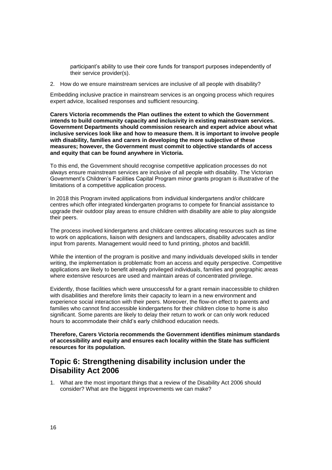participant's ability to use their core funds for transport purposes independently of their service provider(s).

2. How do we ensure mainstream services are inclusive of all people with disability?

Embedding inclusive practice in mainstream services is an ongoing process which requires expert advice, localised responses and sufficient resourcing.

**Carers Victoria recommends the Plan outlines the extent to which the Government intends to build community capacity and inclusivity in existing mainstream services. Government Departments should commission research and expert advice about what inclusive services look like and how to measure them. It is important to involve people with disability, families and carers in developing the more subjective of these measures; however, the Government must commit to objective standards of access and equity that can be found anywhere in Victoria.** 

To this end, the Government should recognise competitive application processes do not always ensure mainstream services are inclusive of all people with disability. The Victorian Government's Children's Facilities Capital Program minor grants program is illustrative of the limitations of a competitive application process.

In 2018 this Program invited applications from individual kindergartens and/or childcare centres which offer integrated kindergarten programs to compete for financial assistance to upgrade their outdoor play areas to ensure children with disability are able to play alongside their peers.

The process involved kindergartens and childcare centres allocating resources such as time to work on applications, liaison with designers and landscapers, disability advocates and/or input from parents. Management would need to fund printing, photos and backfill.

While the intention of the program is positive and many individuals developed skills in tender writing, the implementation is problematic from an access and equity perspective. Competitive applications are likely to benefit already privileged individuals, families and geographic areas where extensive resources are used and maintain areas of concentrated privilege.

Evidently, those facilities which were unsuccessful for a grant remain inaccessible to children with disabilities and therefore limits their capacity to learn in a new environment and experience social interaction with their peers. Moreover, the flow-on effect to parents and families who cannot find accessible kindergartens for their children close to home is also significant. Some parents are likely to delay their return to work or can only work reduced hours to accommodate their child's early childhood education needs.

**Therefore, Carers Victoria recommends the Government identifies minimum standards of accessibility and equity and ensures each locality within the State has sufficient resources for its population.** 

## <span id="page-15-0"></span>**Topic 6: Strengthening disability inclusion under the Disability Act 2006**

1. What are the most important things that a review of the Disability Act 2006 should consider? What are the biggest improvements we can make?